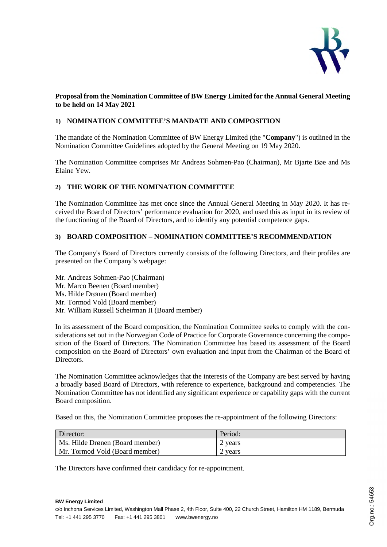

## **Proposal from the Nomination Committee of BW Energy Limited for the Annual General Meeting to be held on 14 May 2021**

## **1) NOMINATION COMMITTEE'S MANDATE AND COMPOSITION**

The mandate of the Nomination Committee of BW Energy Limited (the "**Company**") is outlined in the Nomination Committee Guidelines adopted by the General Meeting on 19 May 2020.

The Nomination Committee comprises Mr Andreas Sohmen-Pao (Chairman), Mr Bjarte Bøe and Ms Elaine Yew.

### **2) THE WORK OF THE NOMINATION COMMITTEE**

The Nomination Committee has met once since the Annual General Meeting in May 2020. It has received the Board of Directors' performance evaluation for 2020, and used this as input in its review of the functioning of the Board of Directors, and to identify any potential competence gaps.

### **3) BOARD COMPOSITION – NOMINATION COMMITTEE'S RECOMMENDATION**

The Company's Board of Directors currently consists of the following Directors, and their profiles are presented on the Company's webpage:

Mr. Andreas Sohmen-Pao (Chairman) Mr. Marco Beenen (Board member) Ms. Hilde Drønen (Board member) Mr. Tormod Vold (Board member) Mr. William Russell Scheirman II (Board member)

In its assessment of the Board composition, the Nomination Committee seeks to comply with the considerations set out in the Norwegian Code of Practice for Corporate Governance concerning the composition of the Board of Directors. The Nomination Committee has based its assessment of the Board composition on the Board of Directors' own evaluation and input from the Chairman of the Board of Directors.

The Nomination Committee acknowledges that the interests of the Company are best served by having a broadly based Board of Directors, with reference to experience, background and competencies. The Nomination Committee has not identified any significant experience or capability gaps with the current Board composition.

Based on this, the Nomination Committee proposes the re-appointment of the following Directors:

| Director:                       | Period. |
|---------------------------------|---------|
| Ms. Hilde Drønen (Board member) | 2 years |
| Mr. Tormod Vold (Board member)  | vears   |

The Directors have confirmed their candidacy for re-appointment.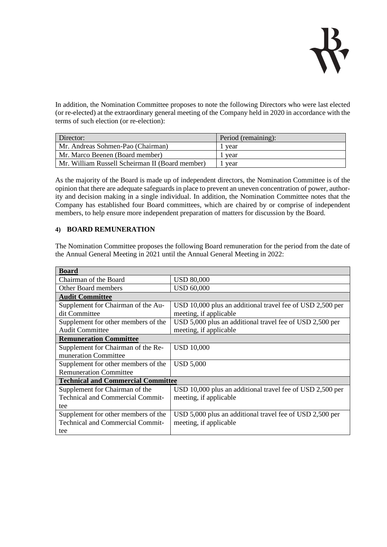

In addition, the Nomination Committee proposes to note the following Directors who were last elected (or re-elected) at the extraordinary general meeting of the Company held in 2020 in accordance with the terms of such election (or re-election):

| Director:                                       | Period (remaining): |
|-------------------------------------------------|---------------------|
| Mr. Andreas Sohmen-Pao (Chairman)               | vear                |
| Mr. Marco Beenen (Board member)                 | year                |
| Mr. William Russell Scheirman II (Board member) | year                |

As the majority of the Board is made up of independent directors, the Nomination Committee is of the opinion that there are adequate safeguards in place to prevent an uneven concentration of power, authority and decision making in a single individual. In addition, the Nomination Committee notes that the Company has established four Board committees, which are chaired by or comprise of independent members, to help ensure more independent preparation of matters for discussion by the Board.

#### **4) BOARD REMUNERATION**

The Nomination Committee proposes the following Board remuneration for the period from the date of the Annual General Meeting in 2021 until the Annual General Meeting in 2022:

| <b>Board</b>                              |                                                           |  |
|-------------------------------------------|-----------------------------------------------------------|--|
| Chairman of the Board                     | <b>USD 80,000</b>                                         |  |
| Other Board members                       | <b>USD 60,000</b>                                         |  |
| <b>Audit Committee</b>                    |                                                           |  |
| Supplement for Chairman of the Au-        | USD 10,000 plus an additional travel fee of USD 2,500 per |  |
| dit Committee                             | meeting, if applicable                                    |  |
| Supplement for other members of the       | USD 5,000 plus an additional travel fee of USD 2,500 per  |  |
| <b>Audit Committee</b>                    | meeting, if applicable                                    |  |
| <b>Remuneration Committee</b>             |                                                           |  |
| Supplement for Chairman of the Re-        | <b>USD 10,000</b>                                         |  |
| muneration Committee                      |                                                           |  |
| Supplement for other members of the       | <b>USD 5,000</b>                                          |  |
| <b>Remuneration Committee</b>             |                                                           |  |
| <b>Technical and Commercial Committee</b> |                                                           |  |
| Supplement for Chairman of the            | USD 10,000 plus an additional travel fee of USD 2,500 per |  |
| <b>Technical and Commercial Commit-</b>   | meeting, if applicable                                    |  |
| tee                                       |                                                           |  |
| Supplement for other members of the       | USD 5,000 plus an additional travel fee of USD 2,500 per  |  |
| <b>Technical and Commercial Commit-</b>   | meeting, if applicable                                    |  |
| tee                                       |                                                           |  |